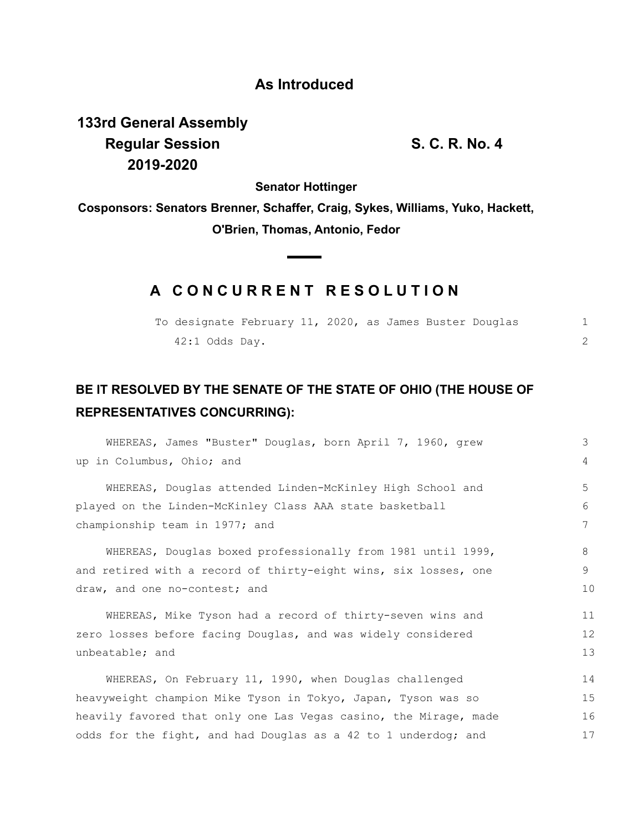## **As Introduced**

**133rd General Assembly Regular Session S. C. R. No. 4 2019-2020**

**Senator Hottinger**

**Cosponsors: Senators Brenner, Schaffer, Craig, Sykes, Williams, Yuko, Hackett, O'Brien, Thomas, Antonio, Fedor**

## **A C O N C U R R E N T R E S O L U T I O N**

| To designate February 11, 2020, as James Buster Douglas |  |  |  |  |  |
|---------------------------------------------------------|--|--|--|--|--|
| $42:1$ Odds Day.                                        |  |  |  |  |  |

## **BE IT RESOLVED BY THE SENATE OF THE STATE OF OHIO (THE HOUSE OF REPRESENTATIVES CONCURRING):**

| WHEREAS, James "Buster" Douglas, born April 7, 1960, grew        | 3  |  |  |  |  |  |
|------------------------------------------------------------------|----|--|--|--|--|--|
| up in Columbus, Ohio; and                                        | 4  |  |  |  |  |  |
| WHEREAS, Douglas attended Linden-McKinley High School and        | 5  |  |  |  |  |  |
| played on the Linden-McKinley Class AAA state basketball         | 6  |  |  |  |  |  |
| championship team in 1977; and                                   | 7  |  |  |  |  |  |
| WHEREAS, Douglas boxed professionally from 1981 until 1999,      | 8  |  |  |  |  |  |
| and retired with a record of thirty-eight wins, six losses, one  | 9  |  |  |  |  |  |
| draw, and one no-contest; and                                    | 10 |  |  |  |  |  |
| WHEREAS, Mike Tyson had a record of thirty-seven wins and        | 11 |  |  |  |  |  |
| zero losses before facing Douglas, and was widely considered     | 12 |  |  |  |  |  |
| unbeatable; and                                                  | 13 |  |  |  |  |  |
| WHEREAS, On February 11, 1990, when Douglas challenged           | 14 |  |  |  |  |  |
| heavyweight champion Mike Tyson in Tokyo, Japan, Tyson was so    | 15 |  |  |  |  |  |
| heavily favored that only one Las Vegas casino, the Mirage, made |    |  |  |  |  |  |
| odds for the fight, and had Douglas as a 42 to 1 underdog; and   | 17 |  |  |  |  |  |